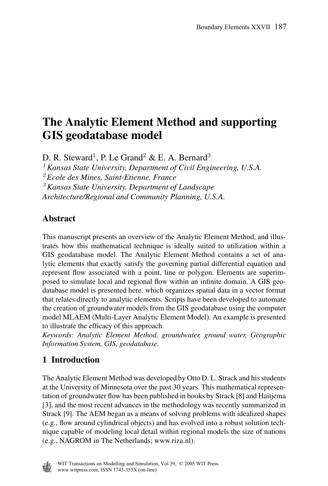# **The Analytic Element Method and supporting GIS geodatabase model**

D. R. Steward<sup>1</sup>, P. Le Grand<sup>2</sup> & E. A. Bernard<sup>3</sup>

*<sup>1</sup>Kansas State University, Department of Civil Engineering, U.S.A.*

*<sup>2</sup>Ecole des Mines, Saint-Etienne, France*

*<sup>3</sup>Kansas State University, Department of Landscape*

*Architecture/Regional and Community Planning, U.S.A.*

### **Abstract**

This manuscript presents an overview of the Analytic Element Method, and illustrates how this mathematical technique is ideally suited to utilization within a GIS geodatabase model. The Analytic Element Method contains a set of analytic elements that exactly satisfy the governing partial differential equation and represent flow associated with a point, line or polygon. Elements are superimposed to simulate local and regional flow within an infinite domain. A GIS geodatabase model is presented here, which organizes spatial data in a vector format that relates directly to analytic elements. Scripts have been developed to automate the creation of groundwater models from the GIS geodatabase using the computer model MLAEM (Multi-Layer Analytic Element Model). An example is presented to illustrate the efficacy of this approach.

*Keywords: Analytic Element Method, groundwater, ground water, Geographic Information System, GIS, geodatabase.*

# **1 Introduction**

The Analytic Element Method was developed by Otto D. L. Strack and his students at the University of Minnesota over the past 30 years. This mathematical representation of groundwater flow has been published in books by Strack [8] and Haitjema [3], and the most recent advances in the methodology was recently summarized in Strack [9]. The AEM began as a means of solving problems with idealized shapes (e.g., flow around cylindrical objects) and has evolved into a robust solution technique capable of modeling local detail within regional models the size of nations (e.g., NAGROM in The Netherlands; www.riza.nl).

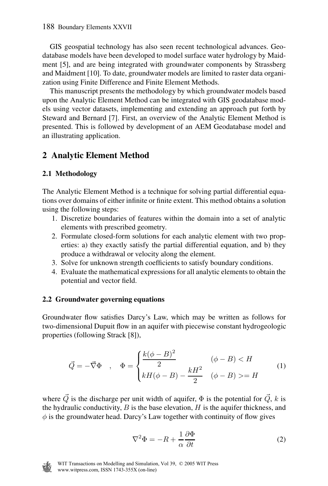GIS geospatial technology has also seen recent technological advances. Geodatabase models have been developed to model surface water hydrology by Maidment [5], and are being integrated with groundwater components by Strassberg and Maidment [10]. To date, groundwater models are limited to raster data organization using Finite Difference and Finite Element Methods.

This manuscript presents the methodology by which groundwater models based upon the Analytic Element Method can be integrated with GIS geodatabase models using vector datasets, implementing and extending an approach put forth by Steward and Bernard [7]. First, an overview of the Analytic Element Method is presented. This is followed by development of an AEM Geodatabase model and an illustrating application.

# **2 Analytic Element Method**

### **2.1 Methodology**

The Analytic Element Method is a technique for solving partial differential equations over domains of either infinite or finite extent. This method obtains a solution using the following steps:

- 1. Discretize boundaries of features within the domain into a set of analytic elements with prescribed geometry.
- 2. Formulate closed-form solutions for each analytic element with two properties: a) they exactly satisfy the partial differential equation, and b) they produce a withdrawal or velocity along the element.
- 3. Solve for unknown strength coefficients to satisfy boundary conditions.
- 4. Evaluate the mathematical expressionsfor all analytic elements to obtain the potential and vector field.

### **2.2 Groundwater governing equations**

Groundwater flow satisfies Darcy's Law, which may be written as follows for two-dimensional Dupuit flow in an aquifer with piecewise constant hydrogeologic properties (following Strack [8]),

$$
\vec{Q} = -\vec{\nabla}\Phi \quad , \quad \Phi = \begin{cases} \frac{k(\phi - B)^2}{2} & (\phi - B) < H \\ kH(\phi - B) - \frac{kH^2}{2} & (\phi - B) > H \end{cases} \tag{1}
$$

where Q is the discharge per unit width of aquifer,  $\Phi$  is the potential for  $\vec{Q}$ , k is the hydraulic conductivity,  $B$  is the base elevation,  $H$  is the aquifer thickness, and  $\phi$  is the groundwater head. Darcy's Law together with continuity of flow gives

$$
\nabla^2 \Phi = -R + \frac{1}{\alpha} \frac{\partial \Phi}{\partial t}
$$
 (2)

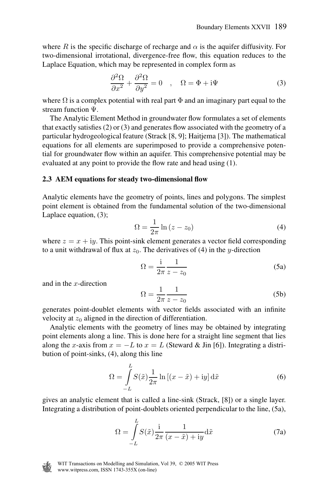where R is the specific discharge of recharge and  $\alpha$  is the aquifer diffusivity. For two-dimensional irrotational, divergence-free flow, this equation reduces to the Laplace Equation, which may be represented in complex form as

$$
\frac{\partial^2 \Omega}{\partial x^2} + \frac{\partial^2 \Omega}{\partial y^2} = 0 \quad , \quad \Omega = \Phi + i\Psi \tag{3}
$$

where  $\Omega$  is a complex potential with real part  $\Phi$  and an imaginary part equal to the stream function Ψ.

The Analytic Element Method in groundwater flow formulates a set of elements that exactly satisfies (2) or (3) and generates flow associated with the geometry of a particular hydrogeological feature (Strack [8, 9]; Haitjema [3]). The mathematical equations for all elements are superimposed to provide a comprehensive potential for groundwater flow within an aquifer. This comprehensive potential may be evaluated at any point to provide the flow rate and head using (1).

#### **2.3 AEM equations for steady two-dimensional flow**

Analytic elements have the geometry of points, lines and polygons. The simplest point element is obtained from the fundamental solution of the two-dimensional Laplace equation, (3);

$$
\Omega = \frac{1}{2\pi} \ln \left( z - z_0 \right) \tag{4}
$$

where  $z = x + iy$ . This point-sink element generates a vector field corresponding to a unit withdrawal of flux at  $z_0$ . The derivatives of (4) in the y-direction

$$
\Omega = \frac{1}{2\pi} \frac{1}{z - z_0} \tag{5a}
$$

and in the  $x$ -direction

$$
\Omega = \frac{1}{2\pi} \frac{1}{z - z_0} \tag{5b}
$$

generates point-doublet elements with vector fields associated with an infinite velocity at  $z_0$  aligned in the direction of differentiation.

Analytic elements with the geometry of lines may be obtained by integrating point elements along a line. This is done here for a straight line segment that lies along the x-axis from  $x = -L$  to  $x = L$  (Steward & Jin [6]). Integrating a distribution of point-sinks, (4), along this line

$$
\Omega = \int_{-L}^{L} S(\tilde{x}) \frac{1}{2\pi} \ln \left[ (x - \tilde{x}) + iy \right] d\tilde{x}
$$
 (6)

gives an analytic element that is called a line-sink (Strack, [8]) or a single layer. Integrating a distribution of point-doublets oriented perpendicular to the line, (5a),

$$
\Omega = \int_{-L}^{L} S(\tilde{x}) \frac{1}{2\pi} \frac{1}{(x - \tilde{x}) + iy} d\tilde{x}
$$
\n(7a)

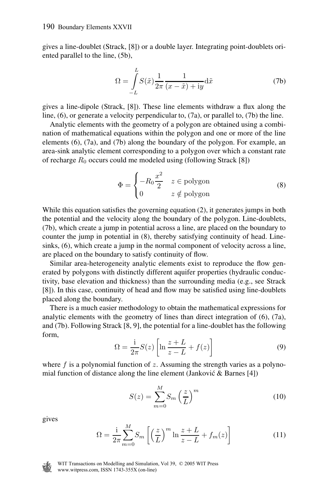gives a line-doublet (Strack, [8]) or a double layer. Integrating point-doublets oriented parallel to the line, (5b),

*L*

$$
\Omega = \int_{-L}^{L} S(\tilde{x}) \frac{1}{2\pi} \frac{1}{(x - \tilde{x}) + iy} d\tilde{x}
$$
 (7b)

gives a line-dipole (Strack, [8]). These line elements withdraw a flux along the line, (6), or generate a velocity perpendicular to, (7a), or parallel to, (7b) the line.

Analytic elements with the geometry of a polygon are obtained using a combination of mathematical equations within the polygon and one or more of the line elements (6), (7a), and (7b) along the boundary of the polygon. For example, an area-sink analytic element corresponding to a polygon over which a constant rate of recharge  $R_0$  occurs could me modeled using (following Strack [8])

$$
\Phi = \begin{cases}\n-R_0 \frac{x^2}{2} & z \in \text{polygon} \\
0 & z \notin \text{polygon}\n\end{cases}
$$
\n(8)

While this equation satisfies the governing equation (2), it generates jumps in both the potential and the velocity along the boundary of the polygon. Line-doublets, (7b), which create a jump in potential across a line, are placed on the boundary to counter the jump in potential in (8), thereby satisfying continuity of head. Linesinks, (6), which create a jump in the normal component of velocity across a line, are placed on the boundary to satisfy continuity of flow.

Similar area-heterogeneity analytic elements exist to reproduce the flow generated by polygons with distinctly different aquifer properties (hydraulic conductivity, base elevation and thickness) than the surrounding media (e.g., see Strack [8]). In this case, continuity of head and flow may be satisfied using line-doublets placed along the boundary.

There is a much easier methodology to obtain the mathematical expressions for analytic elements with the geometry of lines than direct integration of (6), (7a), and (7b). Following Strack [8, 9], the potential for a line-doublet has the following form,

$$
\Omega = \frac{1}{2\pi} S(z) \left[ \ln \frac{z+L}{z-L} + f(z) \right]
$$
\n(9)

where  $f$  is a polynomial function of  $z$ . Assuming the strength varies as a polynomial function of distance along the line element (Janković & Barnes [4])

$$
S(z) = \sum_{m=0}^{M} S_m \left(\frac{z}{L}\right)^m
$$
 (10)

gives

$$
\Omega = \frac{1}{2\pi} \sum_{m=0}^{M} S_m \left[ \left( \frac{z}{L} \right)^m \ln \frac{z+L}{z-L} + f_m(z) \right]
$$
(11)

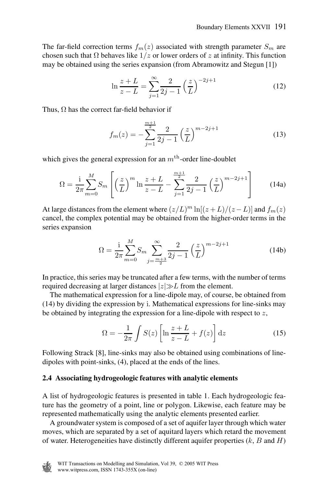The far-field correction terms  $f_m(z)$  associated with strength parameter  $S_m$  are chosen such that  $\Omega$  behaves like  $1/z$  or lower orders of z at infinity. This function may be obtained using the series expansion (from Abramowitz and Stegun [1])

$$
\ln \frac{z+L}{z-L} = \sum_{j=1}^{\infty} \frac{2}{2j-1} \left(\frac{z}{L}\right)^{-2j+1}
$$
 (12)

Thus,  $\Omega$  has the correct far-field behavior if

$$
f_m(z) = -\sum_{j=1}^{\frac{m+1}{2}} \frac{2}{2j-1} \left(\frac{z}{L}\right)^{m-2j+1}
$$
 (13)

which gives the general expression for an  $m<sup>th</sup>$ -order line-doublet

$$
\Omega = \frac{1}{2\pi} \sum_{m=0}^{M} S_m \left[ \left( \frac{z}{L} \right)^m \ln \frac{z+L}{z-L} - \sum_{j=1}^{\frac{m+1}{2}} \frac{2}{2j-1} \left( \frac{z}{L} \right)^{m-2j+1} \right]
$$
(14a)

At large distances from the element where  $(z/L)^m \ln[(z+L)/(z-L)]$  and  $f_m(z)$ cancel, the complex potential may be obtained from the higher-order terms in the series expansion

$$
\Omega = \frac{1}{2\pi} \sum_{m=0}^{M} S_m \sum_{j=\frac{m+3}{2}}^{\infty} \frac{2}{2j-1} \left(\frac{z}{L}\right)^{m-2j+1}
$$
(14b)

In practice, this series may be truncated after a few terms, with the number of terms required decreasing at larger distances  $|z|\gg L$  from the element.

The mathematical expression for a line-dipole may, of course, be obtained from (14) by dividing the expression by i. Mathematical expressions for line-sinks may be obtained by integrating the expression for a line-dipole with respect to  $z$ ,

$$
\Omega = -\frac{1}{2\pi} \int S(z) \left[ \ln \frac{z+L}{z-L} + f(z) \right] dz \tag{15}
$$

Following Strack [8], line-sinks may also be obtained using combinations of linedipoles with point-sinks, (4), placed at the ends of the lines.

#### **2.4 Associating hydrogeologic features with analytic elements**

A list of hydrogeologic features is presented in table 1. Each hydrogeologic feature has the geometry of a point, line or polygon. Likewise, each feature may be represented mathematically using the analytic elements presented earlier.

A groundwater system is composed of a set of aquifer layer through which water moves, which are separated by a set of aquitard layers which retard the movement of water. Heterogeneities have distinctly different aquifer properties  $(k, B \text{ and } H)$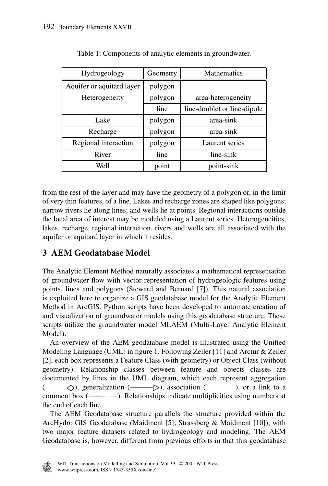| Hydrogeology              | Geometry | Mathematics                 |
|---------------------------|----------|-----------------------------|
| Aquifer or aquitard layer | polygon  |                             |
| Heterogeneity             | polygon  | area-heterogeneity          |
|                           | line     | line-doublet or line-dipole |
| Lake                      | polygon  | area-sink                   |
| Recharge                  | polygon  | area-sink                   |
| Regional interaction      | polygon  | Laurent series              |
| River                     | line     | line-sink                   |
| Well                      | point    | point-sink                  |

Table 1: Components of analytic elements in groundwater.

from the rest of the layer and may have the geometry of a polygon or, in the limit of very thin features, of a line. Lakes and recharge zones are shaped like polygons; narrow rivers lie along lines; and wells lie at points. Regional interactions outside the local area of interest may be modeled using a Laurent series. Heterogeneities, lakes, recharge, regional interaction, rivers and wells are all associated with the aquifer or aquitard layer in which it resides.

# **3 AEM Geodatabase Model**

The Analytic Element Method naturally associates a mathematical representation of groundwater flow with vector representation of hydrogeologic features using points, lines and polygons (Steward and Bernard [7]). This natural association is exploited here to organize a GIS geodatabase model for the Analytic Element Method in ArcGIS. Python scripts have been developed to automate creation of and visualization of groundwater models using this geodatabase structure. These scripts utilize the groundwater model MLAEM (Multi-Layer Analytic Element Model).

An overview of the AEM geodatabase model is illustrated using the Unified Modeling Language (UML) in figure 1. Following Zeiler [11] and Arctur & Zeiler [2], each box represents a Feature Class (with geometry) or Object Class (without geometry). Relationship classes between feature and objects classes are documented by lines in the UML diagram, which each represent aggregation  $(\_\_\!\!\!\!\_\_ \backslash)$ , generalization  $(\_\!\!\!\!\_\_ \backslash)$ , association  $(\_\!\!\!\!\_\_ \backslash)$ , or a link to a comment box ( $\equiv$ ). Relationships indicate multiplicities using numbers at the end of each line.

The AEM Geodatabase structure parallels the structure provided within the ArcHydro GIS Geodatabase (Maidment [5]; Strassberg & Maidment [10]), with two major feature datasets related to hydrogeology and modeling. The AEM Geodatabase is, however, different from previous efforts in that this geodatabase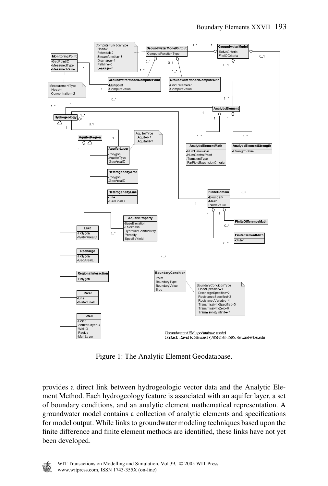

Figure 1: The Analytic Element Geodatabase.

provides a direct link between hydrogeologic vector data and the Analytic Element Method. Each hydrogeology feature is associated with an aquifer layer, a set of boundary conditions, and an analytic element mathematical representation. A groundwater model contains a collection of analytic elements and specifications for model output. While links to groundwater modeling techniques based upon the finite difference and finite element methods are identified, these links have not yet been developed.

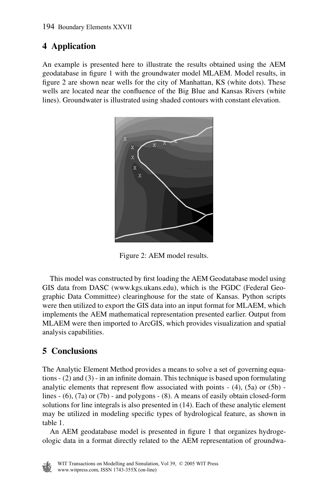# **4 Application**

An example is presented here to illustrate the results obtained using the AEM geodatabase in figure 1 with the groundwater model MLAEM. Model results, in figure 2 are shown near wells for the city of Manhattan, KS (white dots). These wells are located near the confluence of the Big Blue and Kansas Rivers (white lines). Groundwater is illustrated using shaded contours with constant elevation.



Figure 2: AEM model results.

This model was constructed by first loading the AEM Geodatabase model using GIS data from DASC (www.kgs.ukans.edu), which is the FGDC (Federal Geographic Data Committee) clearinghouse for the state of Kansas. Python scripts were then utilized to export the GIS data into an input format for MLAEM, which implements the AEM mathematical representation presented earlier. Output from MLAEM were then imported to ArcGIS, which provides visualization and spatial analysis capabilities.

# **5 Conclusions**

The Analytic Element Method provides a means to solve a set of governing equations - (2) and (3) - in an infinite domain. This technique is based upon formulating analytic elements that represent flow associated with points  $- (4)$ ,  $(5a)$  or  $(5b)$  lines  $- (6)$ ,  $(7a)$  or  $(7b)$  - and polygons  $- (8)$ . A means of easily obtain closed-form solutions for line integrals is also presented in (14). Each of these analytic element may be utilized in modeling specific types of hydrological feature, as shown in table 1.

An AEM geodatabase model is presented in figure 1 that organizes hydrogeologic data in a format directly related to the AEM representation of groundwa-